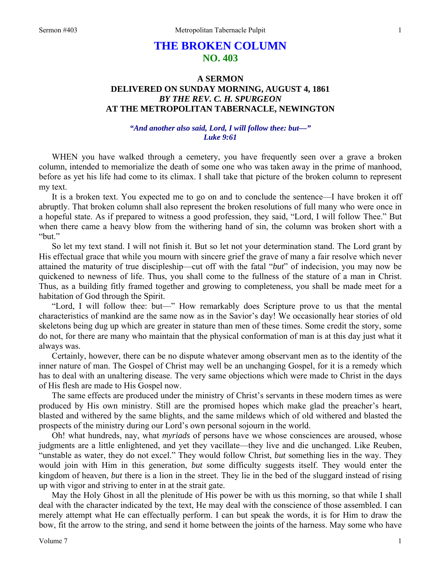# **THE BROKEN COLUMN NO. 403**

# **A SERMON DELIVERED ON SUNDAY MORNING, AUGUST 4, 1861**  *BY THE REV. C. H. SPURGEON*  **AT THE METROPOLITAN TABERNACLE, NEWINGTON**

## *"And another also said, Lord, I will follow thee: but—" Luke 9:61*

WHEN you have walked through a cemetery, you have frequently seen over a grave a broken column, intended to memorialize the death of some one who was taken away in the prime of manhood, before as yet his life had come to its climax. I shall take that picture of the broken column to represent my text.

It is a broken text. You expected me to go on and to conclude the sentence—I have broken it off abruptly. That broken column shall also represent the broken resolutions of full many who were once in a hopeful state. As if prepared to witness a good profession, they said, "Lord, I will follow Thee." But when there came a heavy blow from the withering hand of sin, the column was broken short with a "but."

So let my text stand. I will not finish it. But so let not your determination stand. The Lord grant by His effectual grace that while you mourn with sincere grief the grave of many a fair resolve which never attained the maturity of true discipleship—cut off with the fatal "*but*" of indecision, you may now be quickened to newness of life. Thus, you shall come to the fullness of the stature of a man in Christ. Thus, as a building fitly framed together and growing to completeness, you shall be made meet for a habitation of God through the Spirit.

"Lord, I will follow thee: but—" How remarkably does Scripture prove to us that the mental characteristics of mankind are the same now as in the Savior's day! We occasionally hear stories of old skeletons being dug up which are greater in stature than men of these times. Some credit the story, some do not, for there are many who maintain that the physical conformation of man is at this day just what it always was.

Certainly, however, there can be no dispute whatever among observant men as to the identity of the inner nature of man. The Gospel of Christ may well be an unchanging Gospel, for it is a remedy which has to deal with an unaltering disease. The very same objections which were made to Christ in the days of His flesh are made to His Gospel now.

The same effects are produced under the ministry of Christ's servants in these modern times as were produced by His own ministry. Still are the promised hopes which make glad the preacher's heart, blasted and withered by the same blights, and the same mildews which of old withered and blasted the prospects of the ministry during our Lord's own personal sojourn in the world.

Oh! what hundreds, nay, what *myriads* of persons have we whose consciences are aroused, whose judgments are a little enlightened, and yet they vacillate—they live and die unchanged. Like Reuben, "unstable as water, they do not excel." They would follow Christ, *but* something lies in the way. They would join with Him in this generation, *but* some difficulty suggests itself. They would enter the kingdom of heaven, *but* there is a lion in the street. They lie in the bed of the sluggard instead of rising up with vigor and striving to enter in at the strait gate.

May the Holy Ghost in all the plenitude of His power be with us this morning, so that while I shall deal with the character indicated by the text, He may deal with the conscience of those assembled. I can merely attempt what He can effectually perform. I can but speak the words, it is for Him to draw the bow, fit the arrow to the string, and send it home between the joints of the harness. May some who have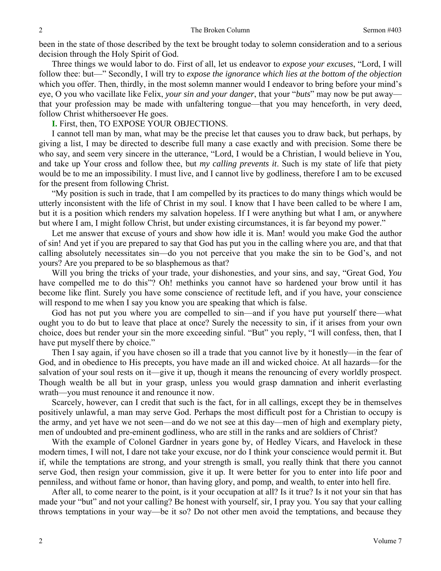been in the state of those described by the text be brought today to solemn consideration and to a serious decision through the Holy Spirit of God.

Three things we would labor to do. First of all, let us endeavor to *expose your excuses*, "Lord, I will follow thee: but—" Secondly, I will try to *expose the ignorance which lies at the bottom of the objection*  which you offer. Then, thirdly, in the most solemn manner would I endeavor to bring before your mind's eye, O you who vacillate like Felix, *your sin and your danger*, that your "*buts*" may now be put away that your profession may be made with unfaltering tongue—that you may henceforth, in very deed, follow Christ whithersoever He goes.

**I.** First, then, TO EXPOSE YOUR OBJECTIONS.

I cannot tell man by man, what may be the precise let that causes you to draw back, but perhaps, by giving a list, I may be directed to describe full many a case exactly and with precision. Some there be who say, and seem very sincere in the utterance, "Lord, I would be a Christian, I would believe in You, and take up Your cross and follow thee, but *my calling prevents it*. Such is my state of life that piety would be to me an impossibility. I must live, and I cannot live by godliness, therefore I am to be excused for the present from following Christ.

"My position is such in trade, that I am compelled by its practices to do many things which would be utterly inconsistent with the life of Christ in my soul. I know that I have been called to be where I am, but it is a position which renders my salvation hopeless. If I were anything but what I am, or anywhere but where I am, I might follow Christ, but under existing circumstances, it is far beyond my power."

Let me answer that excuse of yours and show how idle it is. Man! would you make God the author of sin! And yet if you are prepared to say that God has put you in the calling where you are, and that that calling absolutely necessitates sin—do you not perceive that you make the sin to be God's, and not yours? Are you prepared to be so blasphemous as that?

Will you bring the tricks of your trade, your dishonesties, and your sins, and say, "Great God, *You* have compelled me to do this"? Oh! methinks you cannot have so hardened your brow until it has become like flint. Surely you have some conscience of rectitude left, and if you have, your conscience will respond to me when I say you know you are speaking that which is false.

God has not put you where you are compelled to sin—and if you have put yourself there—what ought you to do but to leave that place at once? Surely the necessity to sin, if it arises from your own choice, does but render your sin the more exceeding sinful. "But" you reply, "I will confess, then, that I have put myself there by choice."

Then I say again, if you have chosen so ill a trade that you cannot live by it honestly—in the fear of God, and in obedience to His precepts, you have made an ill and wicked choice. At all hazards—for the salvation of your soul rests on it—give it up, though it means the renouncing of every worldly prospect. Though wealth be all but in your grasp, unless you would grasp damnation and inherit everlasting wrath—you must renounce it and renounce it now.

Scarcely, however, can I credit that such is the fact, for in all callings, except they be in themselves positively unlawful, a man may serve God. Perhaps the most difficult post for a Christian to occupy is the army, and yet have we not seen—and do we not see at this day—men of high and exemplary piety, men of undoubted and pre-eminent godliness, who are still in the ranks and are soldiers of Christ?

With the example of Colonel Gardner in years gone by, of Hedley Vicars, and Havelock in these modern times, I will not, I dare not take your excuse, nor do I think your conscience would permit it. But if, while the temptations are strong, and your strength is small, you really think that there you cannot serve God, then resign your commission, give it up. It were better for you to enter into life poor and penniless, and without fame or honor, than having glory, and pomp, and wealth, to enter into hell fire.

After all, to come nearer to the point, is it your occupation at all? Is it true? Is it not your sin that has made your "but" and not your calling? Be honest with yourself, sir, I pray you. You say that your calling throws temptations in your way—be it so? Do not other men avoid the temptations, and because they

2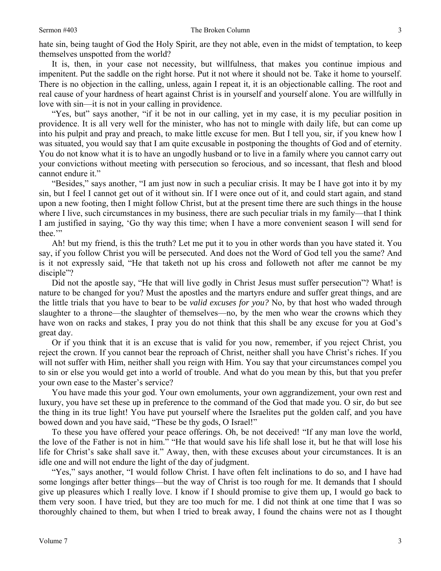hate sin, being taught of God the Holy Spirit, are they not able, even in the midst of temptation, to keep themselves unspotted from the world?

It is, then, in your case not necessity, but willfulness, that makes you continue impious and impenitent. Put the saddle on the right horse. Put it not where it should not be. Take it home to yourself. There is no objection in the calling, unless, again I repeat it, it is an objectionable calling. The root and real cause of your hardness of heart against Christ is in yourself and yourself alone. You are willfully in love with sin—it is not in your calling in providence.

"Yes, but" says another, "if it be not in our calling, yet in my case, it is my peculiar position in providence. It is all very well for the minister, who has not to mingle with daily life, but can come up into his pulpit and pray and preach, to make little excuse for men. But I tell you, sir, if you knew how I was situated, you would say that I am quite excusable in postponing the thoughts of God and of eternity. You do not know what it is to have an ungodly husband or to live in a family where you cannot carry out your convictions without meeting with persecution so ferocious, and so incessant, that flesh and blood cannot endure it."

"Besides," says another, "I am just now in such a peculiar crisis. It may be I have got into it by my sin, but I feel I cannot get out of it without sin. If I were once out of it, and could start again, and stand upon a new footing, then I might follow Christ, but at the present time there are such things in the house where I live, such circumstances in my business, there are such peculiar trials in my family—that I think I am justified in saying, 'Go thy way this time; when I have a more convenient season I will send for thee."

Ah! but my friend, is this the truth? Let me put it to you in other words than you have stated it. You say, if you follow Christ you will be persecuted. And does not the Word of God tell you the same? And is it not expressly said, "He that taketh not up his cross and followeth not after me cannot be my disciple"?

Did not the apostle say, "He that will live godly in Christ Jesus must suffer persecution"? What! is nature to be changed for you? Must the apostles and the martyrs endure and suffer great things, and are the little trials that you have to bear to be *valid excuses for you?* No, by that host who waded through slaughter to a throne—the slaughter of themselves—no, by the men who wear the crowns which they have won on racks and stakes, I pray you do not think that this shall be any excuse for you at God's great day.

Or if you think that it is an excuse that is valid for you now, remember, if you reject Christ, you reject the crown. If you cannot bear the reproach of Christ, neither shall you have Christ's riches. If you will not suffer with Him, neither shall you reign with Him. You say that your circumstances compel you to sin or else you would get into a world of trouble. And what do you mean by this, but that you prefer your own ease to the Master's service?

You have made this your god. Your own emoluments, your own aggrandizement, your own rest and luxury, you have set these up in preference to the command of the God that made you. O sir, do but see the thing in its true light! You have put yourself where the Israelites put the golden calf, and you have bowed down and you have said, "These be thy gods, O Israel!"

To these you have offered your peace offerings. Oh, be not deceived! "If any man love the world, the love of the Father is not in him." "He that would save his life shall lose it, but he that will lose his life for Christ's sake shall save it." Away, then, with these excuses about your circumstances. It is an idle one and will not endure the light of the day of judgment.

"Yes," says another, "I would follow Christ. I have often felt inclinations to do so, and I have had some longings after better things—but the way of Christ is too rough for me. It demands that I should give up pleasures which I really love. I know if I should promise to give them up, I would go back to them very soon. I have tried, but they are too much for me. I did not think at one time that I was so thoroughly chained to them, but when I tried to break away, I found the chains were not as I thought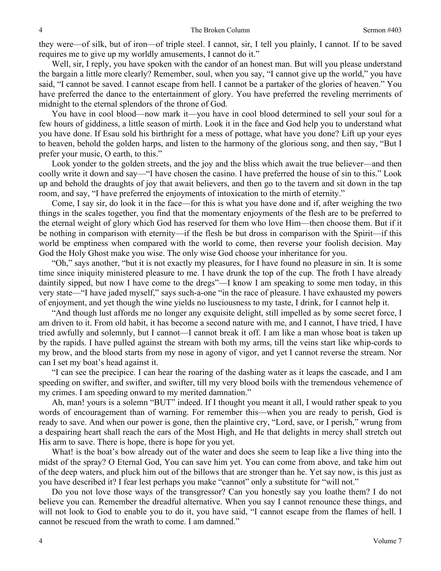they were—of silk, but of iron—of triple steel. I cannot, sir, I tell you plainly, I cannot. If to be saved requires me to give up my worldly amusements, I cannot do it."

Well, sir, I reply, you have spoken with the candor of an honest man. But will you please understand the bargain a little more clearly? Remember, soul, when you say, "I cannot give up the world," you have said, "I cannot be saved. I cannot escape from hell. I cannot be a partaker of the glories of heaven." You have preferred the dance to the entertainment of glory. You have preferred the reveling merriments of midnight to the eternal splendors of the throne of God.

You have in cool blood—now mark it—you have in cool blood determined to sell your soul for a few hours of giddiness, a little season of mirth. Look it in the face and God help you to understand what you have done. If Esau sold his birthright for a mess of pottage, what have you done? Lift up your eyes to heaven, behold the golden harps, and listen to the harmony of the glorious song, and then say, "But I prefer your music, O earth, to this."

Look yonder to the golden streets, and the joy and the bliss which await the true believer—and then coolly write it down and say—"I have chosen the casino. I have preferred the house of sin to this." Look up and behold the draughts of joy that await believers, and then go to the tavern and sit down in the tap room, and say, "I have preferred the enjoyments of intoxication to the mirth of eternity."

Come, I say sir, do look it in the face—for this is what you have done and if, after weighing the two things in the scales together, you find that the momentary enjoyments of the flesh are to be preferred to the eternal weight of glory which God has reserved for them who love Him—then choose them. But if it be nothing in comparison with eternity—if the flesh be but dross in comparison with the Spirit—if this world be emptiness when compared with the world to come, then reverse your foolish decision. May God the Holy Ghost make you wise. The only wise God choose your inheritance for you.

"Oh," says another, "but it is not exactly my pleasures, for I have found no pleasure in sin. It is some time since iniquity ministered pleasure to me. I have drunk the top of the cup. The froth I have already daintily sipped, but now I have come to the dregs"—I know I am speaking to some men today, in this very state—"I have jaded myself," says such-a-one "in the race of pleasure. I have exhausted my powers of enjoyment, and yet though the wine yields no lusciousness to my taste, I drink, for I cannot help it.

"And though lust affords me no longer any exquisite delight, still impelled as by some secret force, I am driven to it. From old habit, it has become a second nature with me, and I cannot, I have tried, I have tried awfully and solemnly, but I cannot—I cannot break it off. I am like a man whose boat is taken up by the rapids. I have pulled against the stream with both my arms, till the veins start like whip-cords to my brow, and the blood starts from my nose in agony of vigor, and yet I cannot reverse the stream. Nor can I set my boat's head against it.

"I can see the precipice. I can hear the roaring of the dashing water as it leaps the cascade, and I am speeding on swifter, and swifter, and swifter, till my very blood boils with the tremendous vehemence of my crimes. I am speeding onward to my merited damnation."

Ah, man! yours is a solemn "BUT" indeed. If I thought you meant it all, I would rather speak to you words of encouragement than of warning. For remember this—when you are ready to perish, God is ready to save. And when our power is gone, then the plaintive cry, "Lord, save, or I perish," wrung from a despairing heart shall reach the ears of the Most High, and He that delights in mercy shall stretch out His arm to save. There is hope, there is hope for you yet.

What! is the boat's bow already out of the water and does she seem to leap like a live thing into the midst of the spray? O Eternal God, You can save him yet. You can come from above, and take him out of the deep waters, and pluck him out of the billows that are stronger than he. Yet say now, is this just as you have described it? I fear lest perhaps you make "cannot" only a substitute for "will not."

Do you not love those ways of the transgressor? Can you honestly say you loathe them? I do not believe you can. Remember the dreadful alternative. When you say I cannot renounce these things, and will not look to God to enable you to do it, you have said, "I cannot escape from the flames of hell. I cannot be rescued from the wrath to come. I am damned."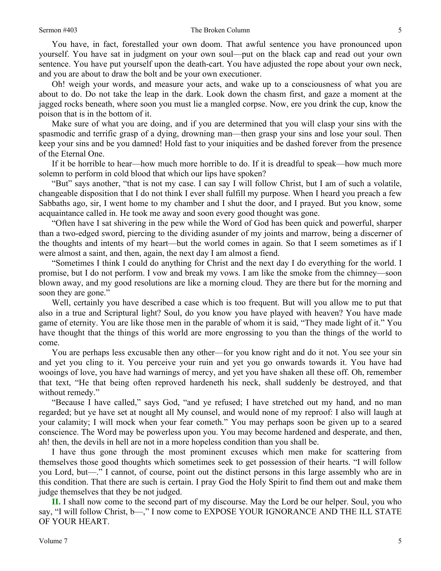You have, in fact, forestalled your own doom. That awful sentence you have pronounced upon yourself. You have sat in judgment on your own soul—put on the black cap and read out your own sentence. You have put yourself upon the death-cart. You have adjusted the rope about your own neck, and you are about to draw the bolt and be your own executioner.

Oh! weigh your words, and measure your acts, and wake up to a consciousness of what you are about to do. Do not take the leap in the dark. Look down the chasm first, and gaze a moment at the jagged rocks beneath, where soon you must lie a mangled corpse. Now, ere you drink the cup, know the poison that is in the bottom of it.

Make sure of what you are doing, and if you are determined that you will clasp your sins with the spasmodic and terrific grasp of a dying, drowning man—then grasp your sins and lose your soul. Then keep your sins and be you damned! Hold fast to your iniquities and be dashed forever from the presence of the Eternal One.

If it be horrible to hear—how much more horrible to do. If it is dreadful to speak—how much more solemn to perform in cold blood that which our lips have spoken?

"But" says another, "that is not my case. I can say I will follow Christ, but I am of such a volatile, changeable disposition that I do not think I ever shall fulfill my purpose. When I heard you preach a few Sabbaths ago, sir, I went home to my chamber and I shut the door, and I prayed. But you know, some acquaintance called in. He took me away and soon every good thought was gone.

"Often have I sat shivering in the pew while the Word of God has been quick and powerful, sharper than a two-edged sword, piercing to the dividing asunder of my joints and marrow, being a discerner of the thoughts and intents of my heart—but the world comes in again. So that I seem sometimes as if I were almost a saint, and then, again, the next day I am almost a fiend.

"Sometimes I think I could do anything for Christ and the next day I do everything for the world. I promise, but I do not perform. I vow and break my vows. I am like the smoke from the chimney—soon blown away, and my good resolutions are like a morning cloud. They are there but for the morning and soon they are gone."

Well, certainly you have described a case which is too frequent. But will you allow me to put that also in a true and Scriptural light? Soul, do you know you have played with heaven? You have made game of eternity. You are like those men in the parable of whom it is said, "They made light of it." You have thought that the things of this world are more engrossing to you than the things of the world to come.

You are perhaps less excusable then any other—for you know right and do it not. You see your sin and yet you cling to it. You perceive your ruin and yet you go onwards towards it. You have had wooings of love, you have had warnings of mercy, and yet you have shaken all these off. Oh, remember that text, "He that being often reproved hardeneth his neck, shall suddenly be destroyed, and that without remedy."

"Because I have called," says God, "and ye refused; I have stretched out my hand, and no man regarded; but ye have set at nought all My counsel, and would none of my reproof: I also will laugh at your calamity; I will mock when your fear cometh." You may perhaps soon be given up to a seared conscience. The Word may be powerless upon you. You may become hardened and desperate, and then, ah! then, the devils in hell are not in a more hopeless condition than you shall be.

I have thus gone through the most prominent excuses which men make for scattering from themselves those good thoughts which sometimes seek to get possession of their hearts. "I will follow you Lord, but—." I cannot, of course, point out the distinct persons in this large assembly who are in this condition. That there are such is certain. I pray God the Holy Spirit to find them out and make them judge themselves that they be not judged.

**II.** I shall now come to the second part of my discourse. May the Lord be our helper. Soul, you who say, "I will follow Christ, b—," I now come to EXPOSE YOUR IGNORANCE AND THE ILL STATE OF YOUR HEART.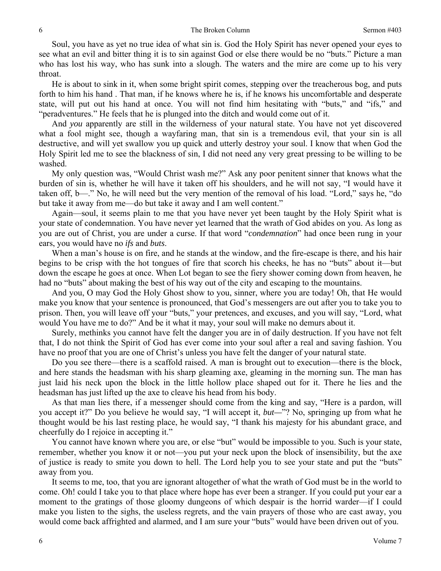Soul, you have as yet no true idea of what sin is. God the Holy Spirit has never opened your eyes to see what an evil and bitter thing it is to sin against God or else there would be no "buts." Picture a man who has lost his way, who has sunk into a slough. The waters and the mire are come up to his very throat.

He is about to sink in it, when some bright spirit comes, stepping over the treacherous bog, and puts forth to him his hand . That man, if he knows where he is, if he knows his uncomfortable and desperate state, will put out his hand at once. You will not find him hesitating with "buts," and "ifs," and "peradventures." He feels that he is plunged into the ditch and would come out of it.

And *you* apparently are still in the wilderness of your natural state. You have not yet discovered what a fool might see, though a wayfaring man, that sin is a tremendous evil, that your sin is all destructive, and will yet swallow you up quick and utterly destroy your soul. I know that when God the Holy Spirit led me to see the blackness of sin, I did not need any very great pressing to be willing to be washed.

My only question was, "Would Christ wash me?" Ask any poor penitent sinner that knows what the burden of sin is, whether he will have it taken off his shoulders, and he will not say, "I would have it taken off, b—." No, he will need but the very mention of the removal of his load. "Lord," says he, "do but take it away from me—do but take it away and I am well content."

Again—soul, it seems plain to me that you have never yet been taught by the Holy Spirit what is your state of condemnation. You have never yet learned that the wrath of God abides on you. As long as you are out of Christ, you are under a curse. If that word "*condemnation*" had once been rung in your ears, you would have no *ifs* and *buts*.

When a man's house is on fire, and he stands at the window, and the fire-escape is there, and his hair begins to be crisp with the hot tongues of fire that scorch his cheeks, he has no "buts" about it—but down the escape he goes at once. When Lot began to see the fiery shower coming down from heaven, he had no "buts" about making the best of his way out of the city and escaping to the mountains.

And you, O may God the Holy Ghost show to you, sinner, where you are today! Oh, that He would make you know that your sentence is pronounced, that God's messengers are out after you to take you to prison. Then, you will leave off your "buts," your pretences, and excuses, and you will say, "Lord, what would You have me to do?" And be it what it may, your soul will make no demurs about it.

Surely, methinks you cannot have felt the danger you are in of daily destruction. If you have not felt that, I do not think the Spirit of God has ever come into your soul after a real and saving fashion. You have no proof that you are one of Christ's unless you have felt the danger of your natural state.

Do you see there—there is a scaffold raised. A man is brought out to execution—there is the block, and here stands the headsman with his sharp gleaming axe, gleaming in the morning sun. The man has just laid his neck upon the block in the little hollow place shaped out for it. There he lies and the headsman has just lifted up the axe to cleave his head from his body.

As that man lies there, if a messenger should come from the king and say, "Here is a pardon, will you accept it?" Do you believe he would say, "I will accept it, *but—*"? No, springing up from what he thought would be his last resting place, he would say, "I thank his majesty for his abundant grace, and cheerfully do I rejoice in accepting it."

You cannot have known where you are, or else "but" would be impossible to you. Such is your state, remember, whether you know it or not—you put your neck upon the block of insensibility, but the axe of justice is ready to smite you down to hell. The Lord help you to see your state and put the "buts" away from you.

It seems to me, too, that you are ignorant altogether of what the wrath of God must be in the world to come. Oh! could I take you to that place where hope has ever been a stranger. If you could put your ear a moment to the gratings of those gloomy dungeons of which despair is the horrid warder—if I could make you listen to the sighs, the useless regrets, and the vain prayers of those who are cast away, you would come back affrighted and alarmed, and I am sure your "buts" would have been driven out of you.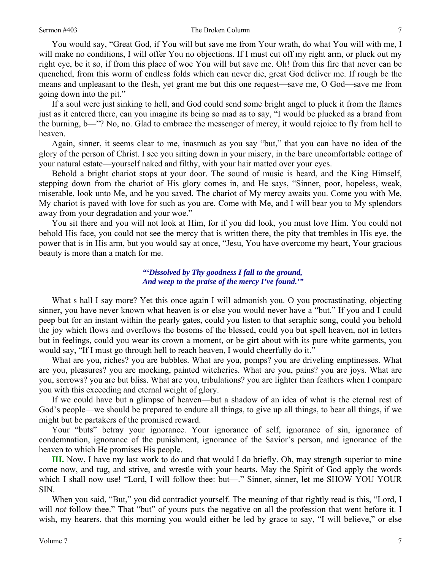#### Sermon #403 The Broken Column

You would say, "Great God, if You will but save me from Your wrath, do what You will with me, I will make no conditions, I will offer You no objections. If I must cut off my right arm, or pluck out my right eye, be it so, if from this place of woe You will but save me. Oh! from this fire that never can be quenched, from this worm of endless folds which can never die, great God deliver me. If rough be the means and unpleasant to the flesh, yet grant me but this one request—save me, O God—save me from going down into the pit."

If a soul were just sinking to hell, and God could send some bright angel to pluck it from the flames just as it entered there, can you imagine its being so mad as to say, "I would be plucked as a brand from the burning, b—"? No, no. Glad to embrace the messenger of mercy, it would rejoice to fly from hell to heaven.

Again, sinner, it seems clear to me, inasmuch as you say "but," that you can have no idea of the glory of the person of Christ. I see you sitting down in your misery, in the bare uncomfortable cottage of your natural estate—yourself naked and filthy, with your hair matted over your eyes.

Behold a bright chariot stops at your door. The sound of music is heard, and the King Himself, stepping down from the chariot of His glory comes in, and He says, "Sinner, poor, hopeless, weak, miserable, look unto Me, and be you saved. The chariot of My mercy awaits you. Come you with Me, My chariot is paved with love for such as you are. Come with Me, and I will bear you to My splendors away from your degradation and your woe."

You sit there and you will not look at Him, for if you did look, you must love Him. You could not behold His face, you could not see the mercy that is written there, the pity that trembles in His eye, the power that is in His arm, but you would say at once, "Jesu, You have overcome my heart, Your gracious beauty is more than a match for me.

### *"'Dissolved by Thy goodness I fall to the ground, And weep to the praise of the mercy I've found.'"*

What s hall I say more? Yet this once again I will admonish you. O you procrastinating, objecting sinner, you have never known what heaven is or else you would never have a "but." If you and I could peep but for an instant within the pearly gates, could you listen to that seraphic song, could you behold the joy which flows and overflows the bosoms of the blessed, could you but spell heaven, not in letters but in feelings, could you wear its crown a moment, or be girt about with its pure white garments, you would say, "If I must go through hell to reach heaven, I would cheerfully do it."

What are you, riches? you are bubbles. What are you, pomps? you are driveling emptinesses. What are you, pleasures? you are mocking, painted witcheries. What are you, pains? you are joys. What are you, sorrows? you are but bliss. What are you, tribulations? you are lighter than feathers when I compare you with this exceeding and eternal weight of glory.

If we could have but a glimpse of heaven—but a shadow of an idea of what is the eternal rest of God's people—we should be prepared to endure all things, to give up all things, to bear all things, if we might but be partakers of the promised reward.

Your "buts" betray your ignorance. Your ignorance of self, ignorance of sin, ignorance of condemnation, ignorance of the punishment, ignorance of the Savior's person, and ignorance of the heaven to which He promises His people.

**III.** Now, I have my last work to do and that would I do briefly. Oh, may strength superior to mine come now, and tug, and strive, and wrestle with your hearts. May the Spirit of God apply the words which I shall now use! "Lord, I will follow thee: but—." Sinner, sinner, let me SHOW YOU YOUR SIN.

When you said, "But," you did contradict yourself. The meaning of that rightly read is this, "Lord, I will *not* follow thee." That "but" of yours puts the negative on all the profession that went before it. I wish, my hearers, that this morning you would either be led by grace to say, "I will believe," or else

7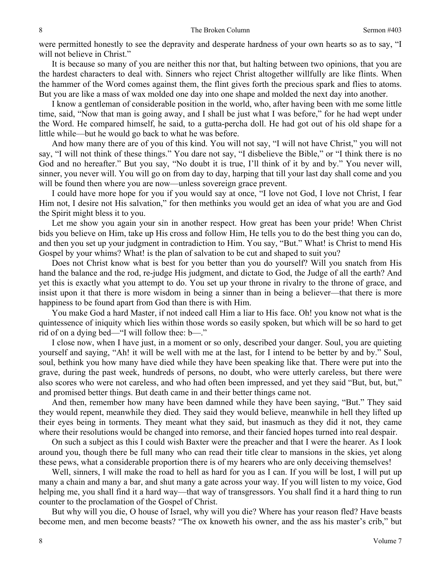were permitted honestly to see the depravity and desperate hardness of your own hearts so as to say, "I will not believe in Christ."

It is because so many of you are neither this nor that, but halting between two opinions, that you are the hardest characters to deal with. Sinners who reject Christ altogether willfully are like flints. When the hammer of the Word comes against them, the flint gives forth the precious spark and flies to atoms. But you are like a mass of wax molded one day into one shape and molded the next day into another.

I know a gentleman of considerable position in the world, who, after having been with me some little time, said, "Now that man is going away, and I shall be just what I was before," for he had wept under the Word. He compared himself, he said, to a gutta-percha doll. He had got out of his old shape for a little while—but he would go back to what he was before.

And how many there are of you of this kind. You will not say, "I will not have Christ," you will not say, "I will not think of these things." You dare not say, "I disbelieve the Bible," or "I think there is no God and no hereafter." But you say, "No doubt it is true, I'll think of it by and by." You never will, sinner, you never will. You will go on from day to day, harping that till your last day shall come and you will be found then where you are now—unless sovereign grace prevent.

I could have more hope for you if you would say at once, "I love not God, I love not Christ, I fear Him not, I desire not His salvation," for then methinks you would get an idea of what you are and God the Spirit might bless it to you.

Let me show you again your sin in another respect. How great has been your pride! When Christ bids you believe on Him, take up His cross and follow Him, He tells you to do the best thing you can do, and then you set up your judgment in contradiction to Him. You say, "But." What! is Christ to mend His Gospel by your whims? What! is the plan of salvation to be cut and shaped to suit you?

Does not Christ know what is best for you better than you do yourself? Will you snatch from His hand the balance and the rod, re-judge His judgment, and dictate to God, the Judge of all the earth? And yet this is exactly what you attempt to do. You set up your throne in rivalry to the throne of grace, and insist upon it that there is more wisdom in being a sinner than in being a believer—that there is more happiness to be found apart from God than there is with Him.

You make God a hard Master, if not indeed call Him a liar to His face. Oh! you know not what is the quintessence of iniquity which lies within those words so easily spoken, but which will be so hard to get rid of on a dying bed—"I will follow thee: b—."

I close now, when I have just, in a moment or so only, described your danger. Soul, you are quieting yourself and saying, "Ah! it will be well with me at the last, for I intend to be better by and by." Soul, soul, bethink you how many have died while they have been speaking like that. There were put into the grave, during the past week, hundreds of persons, no doubt, who were utterly careless, but there were also scores who were not careless, and who had often been impressed, and yet they said "But, but, but," and promised better things. But death came in and their better things came not.

And then, remember how many have been damned while they have been saying, "But." They said they would repent, meanwhile they died. They said they would believe, meanwhile in hell they lifted up their eyes being in torments. They meant what they said, but inasmuch as they did it not, they came where their resolutions would be changed into remorse, and their fancied hopes turned into real despair.

On such a subject as this I could wish Baxter were the preacher and that I were the hearer. As I look around you, though there be full many who can read their title clear to mansions in the skies, yet along these pews, what a considerable proportion there is of my hearers who are only deceiving themselves!

Well, sinners, I will make the road to hell as hard for you as I can. If you will be lost, I will put up many a chain and many a bar, and shut many a gate across your way. If you will listen to my voice, God helping me, you shall find it a hard way—that way of transgressors. You shall find it a hard thing to run counter to the proclamation of the Gospel of Christ.

But why will you die, O house of Israel, why will you die? Where has your reason fled? Have beasts become men, and men become beasts? "The ox knoweth his owner, and the ass his master's crib," but